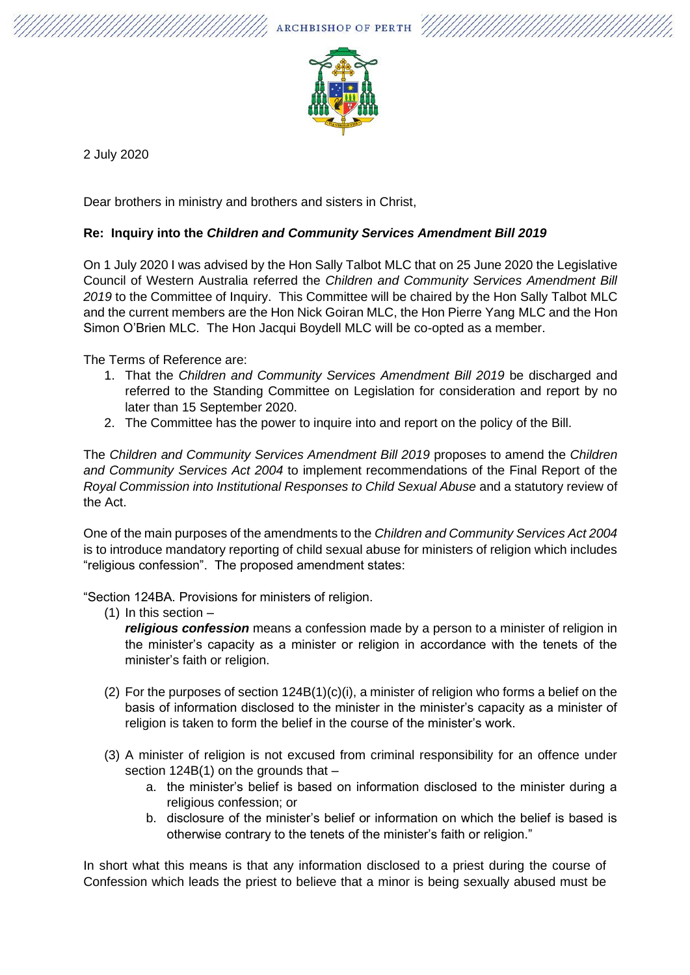ARCHBISHOP OF PERTH





2 July 2020

Dear brothers in ministry and brothers and sisters in Christ,

## **Re: Inquiry into the** *Children and Community Services Amendment Bill 2019*

On 1 July 2020 I was advised by the Hon Sally Talbot MLC that on 25 June 2020 the Legislative Council of Western Australia referred the *Children and Community Services Amendment Bill 2019* to the Committee of Inquiry. This Committee will be chaired by the Hon Sally Talbot MLC and the current members are the Hon Nick Goiran MLC, the Hon Pierre Yang MLC and the Hon Simon O'Brien MLC. The Hon Jacqui Boydell MLC will be co-opted as a member.

The Terms of Reference are:

- 1. That the *Children and Community Services [Amendment](https://www.parliament.wa.gov.au/Parliament/Bills.nsf/9d63bceb9046863d48256abd0016d5dc/b283f888c69dac85482584c0001481aa?OpenDocument) Bill 2019* be discharged and referred to the Standing Committee on Legislation for consideration and report by no later than 15 September 2020.
- 2. The Committee has the power to inquire into and report on the policy of the Bill.

The *Children and Community Services Amendment Bill 2019* proposes to amend the *Children and Community Services Act 2004* to implement recommendations of the Final Report of the *Royal Commission into Institutional Responses to Child Sexual Abuse* and a statutory review of the Act.

One of the main purposes of the amendments to the *Children and Community Services Act 2004*  is to introduce mandatory reporting of child sexual abuse for ministers of religion which includes "religious confession". The proposed amendment states:

"Section 124BA. Provisions for ministers of religion.

(1) In this section –

*religious confession* means a confession made by a person to a minister of religion in the minister's capacity as a minister or religion in accordance with the tenets of the minister's faith or religion.

- (2) For the purposes of section  $124B(1)(c)(i)$ , a minister of religion who forms a belief on the basis of information disclosed to the minister in the minister's capacity as a minister of religion is taken to form the belief in the course of the minister's work.
- (3) A minister of religion is not excused from criminal responsibility for an offence under section 124B(1) on the grounds that
	- a. the minister's belief is based on information disclosed to the minister during a religious confession; or
	- b. disclosure of the minister's belief or information on which the belief is based is otherwise contrary to the tenets of the minister's faith or religion."

In short what this means is that any information disclosed to a priest during the course of Confession which leads the priest to believe that a minor is being sexually abused must be